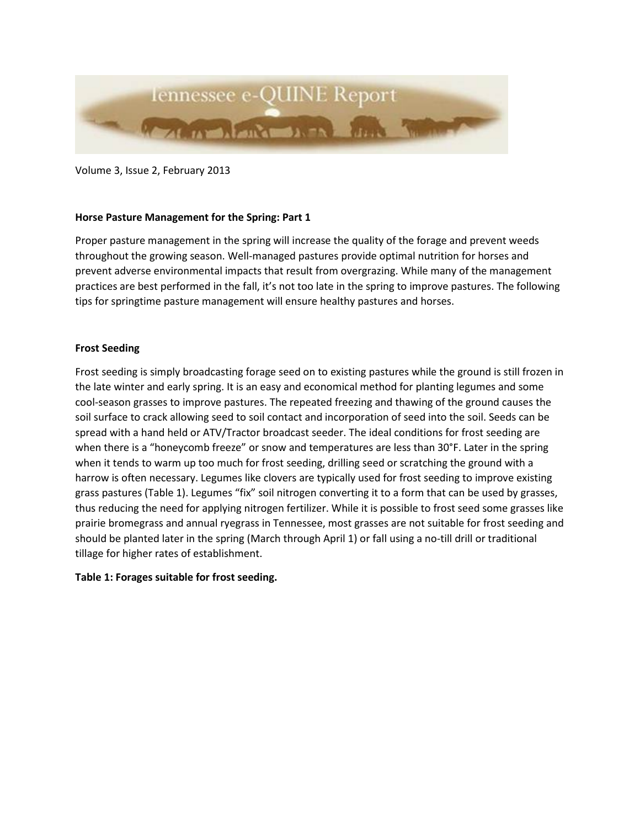

Volume 3, Issue 2, February 2013

# **Horse Pasture Management for the Spring: Part 1**

Proper pasture management in the spring will increase the quality of the forage and prevent weeds throughout the growing season. Well-managed pastures provide optimal nutrition for horses and prevent adverse environmental impacts that result from overgrazing. While many of the management practices are best performed in the fall, it's not too late in the spring to improve pastures. The following tips for springtime pasture management will ensure healthy pastures and horses.

# **Frost Seeding**

Frost seeding is simply broadcasting forage seed on to existing pastures while the ground is still frozen in the late winter and early spring. It is an easy and economical method for planting legumes and some cool-season grasses to improve pastures. The repeated freezing and thawing of the ground causes the soil surface to crack allowing seed to soil contact and incorporation of seed into the soil. Seeds can be spread with a hand held or ATV/Tractor broadcast seeder. The ideal conditions for frost seeding are when there is a "honeycomb freeze" or snow and temperatures are less than 30°F. Later in the spring when it tends to warm up too much for frost seeding, drilling seed or scratching the ground with a harrow is often necessary. Legumes like clovers are typically used for frost seeding to improve existing grass pastures (Table 1). Legumes "fix" soil nitrogen converting it to a form that can be used by grasses, thus reducing the need for applying nitrogen fertilizer. While it is possible to frost seed some grasses like prairie bromegrass and annual ryegrass in Tennessee, most grasses are not suitable for frost seeding and should be planted later in the spring (March through April 1) or fall using a no-till drill or traditional tillage for higher rates of establishment.

### **Table 1: Forages suitable for frost seeding.**